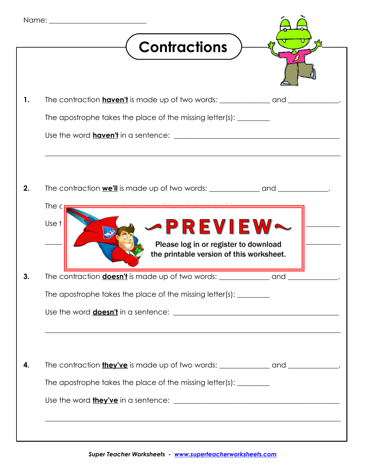| <b>Contractions</b>                                                                                            |  |
|----------------------------------------------------------------------------------------------------------------|--|
| The contraction <b>haven't</b> is made up of two words: ___________________________________.                   |  |
| The apostrophe takes the place of the missing letter(s): _________                                             |  |
|                                                                                                                |  |
| The contraction we'll is made up of two words: __________________________________.<br>The $c_1$                |  |
| Use t<br><b>-PREVIEW~</b><br>Please log in or register to download<br>the printable version of this worksheet. |  |
|                                                                                                                |  |
| The apostrophe takes the place of the missing letter(s): _________                                             |  |
|                                                                                                                |  |
| The contraction <b>they've</b> is made up of two words: _________________________________.                     |  |
| The apostrophe takes the place of the missing letter(s): _________                                             |  |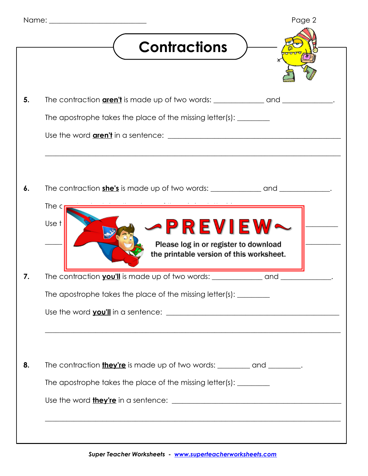| Page 2                                                                                                               |
|----------------------------------------------------------------------------------------------------------------------|
| <b>Contractions</b>                                                                                                  |
|                                                                                                                      |
|                                                                                                                      |
| The apostrophe takes the place of the missing letter(s): _________                                                   |
|                                                                                                                      |
| The contraction she's is made up of two words: __________________________________.                                   |
| The $c_1$                                                                                                            |
| -PREVIEW~<br>Use t<br>Please log in or register to download                                                          |
| the printable version of this worksheet.                                                                             |
|                                                                                                                      |
| The apostrophe takes the place of the missing letter(s): _________                                                   |
| <u> 1989 - Jan James James James James James James James James James James James James James James James James J</u> |
| The contraction <b>they're</b> is made up of two words: _________ and ________.                                      |
| The apostrophe takes the place of the missing letter(s): _________                                                   |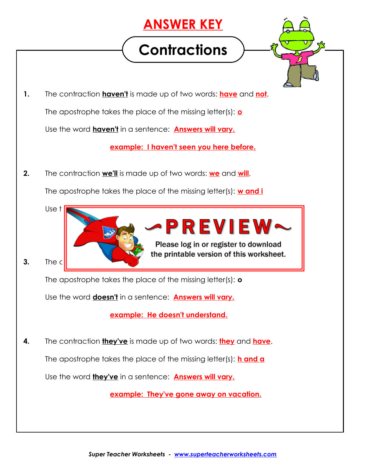## **ANSWER KEY**

## **Contractions**



**1.** The contraction **haven't** is made up of two words: **have** and **not**.

The apostrophe takes the place of the missing letter(s): **o**

Use the word **haven't** in a sentence: **Answers will vary.**

**example: I haven't seen you here before.**

**2.** The contraction **we'll** is made up of two words: **we** and **will**.

The apostrophe takes the place of the missing letter(s): **w and i**



The apostrophe takes the place of the missing letter(s): **o**

Use the word **doesn't** in a sentence: **Answers will vary.**

**example: He doesn't understand.**

**4.** The contraction **they've** is made up of two words: **they** and **have**.

The apostrophe takes the place of the missing letter(s): **h and a**

Use the word **they've** in a sentence: **Answers will vary.**

**example: They've gone away on vacation.**